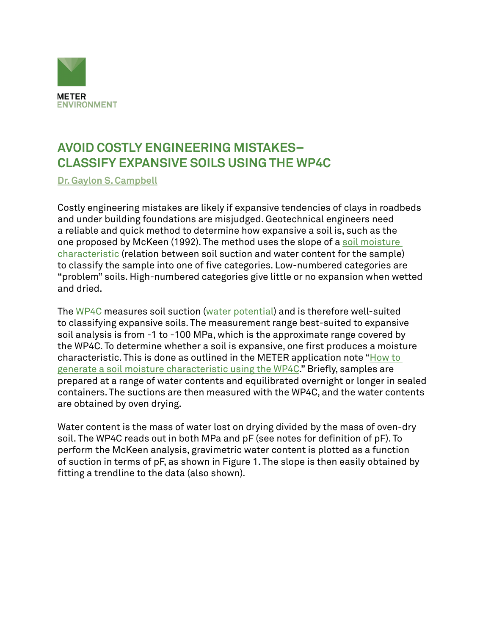

## **AVOID COSTLY ENGINEERING MISTAKES– CLASSIFY EXPANSIVE SOILS USING THE WP4C**

**[Dr. Gaylon S. Campbell](https://www.metergroup.com/meter_knowledgebase/about-us-meter-environment/)**

Costly engineering mistakes are likely if expansive tendencies of clays in roadbeds and under building foundations are misjudged. Geotechnical engineers need a reliable and quick method to determine how expansive a soil is, such as the one proposed by McKeen (1992). The method uses the slope of a [soil moisture](https://www.metergroup.com/environment/articles/create-full-moisture-release-curve-using-wp4c-hyprop/)  [characteristic](https://www.metergroup.com/environment/articles/create-full-moisture-release-curve-using-wp4c-hyprop/) (relation between soil suction and water content for the sample) to classify the sample into one of five categories. Low-numbered categories are "problem" soils. High-numbered categories give little or no expansion when wetted and dried.

The [WP4C](https://www.metergroup.com/meter_products/wp4c/) measures soil suction ([water potential](https://www.metergroup.com/meter_knowledgebase/defining-water-potential/)) and is therefore well-suited to classifying expansive soils. The measurement range best-suited to expansive soil analysis is from -1 to -100 MPa, which is the approximate range covered by the WP4C. To determine whether a soil is expansive, one first produces a moisture characteristic. This is done as outlined in the METER application note ["How to](https://www.metergroup.com/environment/articles/generate-soil-moisture-characteristic-using-wp4c/)  [generate a soil moisture characteristic using the WP4C](https://www.metergroup.com/environment/articles/generate-soil-moisture-characteristic-using-wp4c/)." Briefly, samples are prepared at a range of water contents and equilibrated overnight or longer in sealed containers. The suctions are then measured with the WP4C, and the water contents are obtained by oven drying.

Water content is the mass of water lost on drying divided by the mass of oven-dry soil. The WP4C reads out in both MPa and pF (see notes for definition of pF). To perform the McKeen analysis, gravimetric water content is plotted as a function of suction in terms of pF, as shown in Figure 1. The slope is then easily obtained by fitting a trendline to the data (also shown).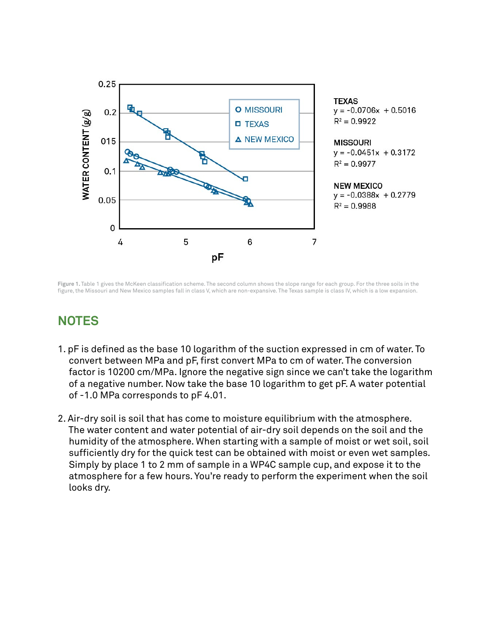

Figure 1. Table 1 gives the McKeen classification scheme. The second column shows the slope range for each group. For the three soils in the figure, the Missouri and New Mexico samples fall in class V, which are non-expansive. The Texas sample is class IV, which is a low expansion.

## **NOTES**

- 1. pF is defined as the base 10 logarithm of the suction expressed in cm of water. To convert between MPa and pF, first convert MPa to cm of water. The conversion factor is 10200 cm/MPa. Ignore the negative sign since we can't take the logarithm of a negative number. Now take the base 10 logarithm to get pF. A water potential of -1.0 MPa corresponds to pF 4.01.
- 2. Air-dry soil is soil that has come to moisture equilibrium with the atmosphere. The water content and water potential of air-dry soil depends on the soil and the humidity of the atmosphere. When starting with a sample of moist or wet soil, soil sufficiently dry for the quick test can be obtained with moist or even wet samples. Simply by place 1 to 2 mm of sample in a WP4C sample cup, and expose it to the atmosphere for a few hours. You're ready to perform the experiment when the soil looks dry.